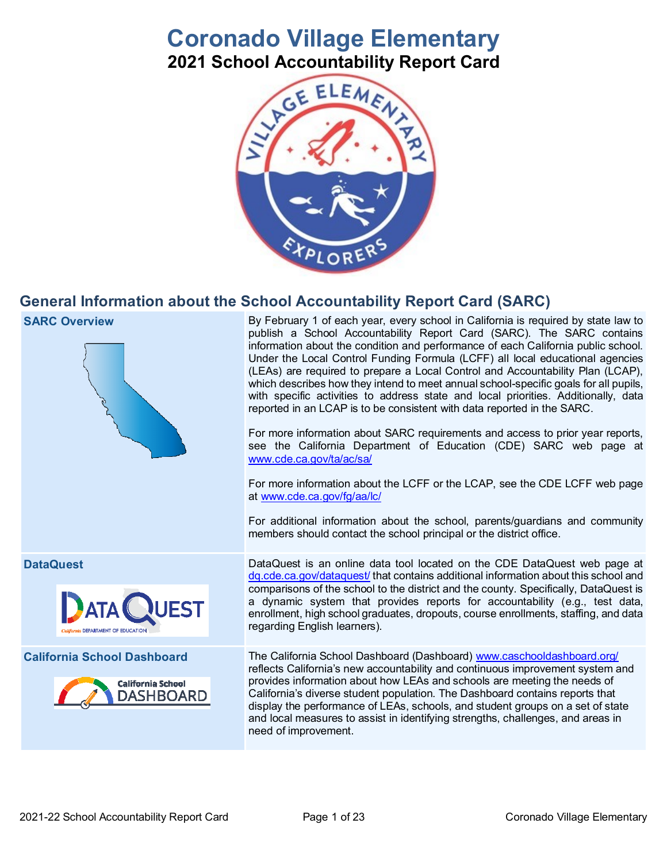# **Coronado Village Elementary 2021 School Accountability Report Card**



## **General Information about the School Accountability Report Card (SARC)**



**SARC Overview By February 1 of each year, every school in California is required by state law to SARC Overview** publish a School Accountability Report Card (SARC). The SARC contains information about the condition and performance of each California public school. Under the Local Control Funding Formula (LCFF) all local educational agencies (LEAs) are required to prepare a Local Control and Accountability Plan (LCAP), which describes how they intend to meet annual school-specific goals for all pupils, with specific activities to address state and local priorities. Additionally, data reported in an LCAP is to be consistent with data reported in the SARC.

> For more information about SARC requirements and access to prior year reports, see the California Department of Education (CDE) SARC web page at [www.cde.ca.gov/ta/ac/sa/](https://www.cde.ca.gov/ta/ac/sa/)

> For more information about the LCFF or the LCAP, see the CDE LCFF web page at [www.cde.ca.gov/fg/aa/lc/](https://www.cde.ca.gov/fg/aa/lc/)

> For additional information about the school, parents/guardians and community members should contact the school principal or the district office.





**DataQuest** DataQuest is an online data tool located on the CDE DataQuest web page at [dq.cde.ca.gov/dataquest/](https://dq.cde.ca.gov/dataquest/) that contains additional information about this school and comparisons of the school to the district and the county. Specifically, DataQuest is a dynamic system that provides reports for accountability (e.g., test data, enrollment, high school graduates, dropouts, course enrollments, staffing, and data regarding English learners).

**California School Dashboard** The California School Dashboard (Dashboard) [www.caschooldashboard.org/](http://www.caschooldashboard.org/) reflects California's new accountability and continuous improvement system and provides information about how LEAs and schools are meeting the needs of California's diverse student population. The Dashboard contains reports that display the performance of LEAs, schools, and student groups on a set of state and local measures to assist in identifying strengths, challenges, and areas in need of improvement.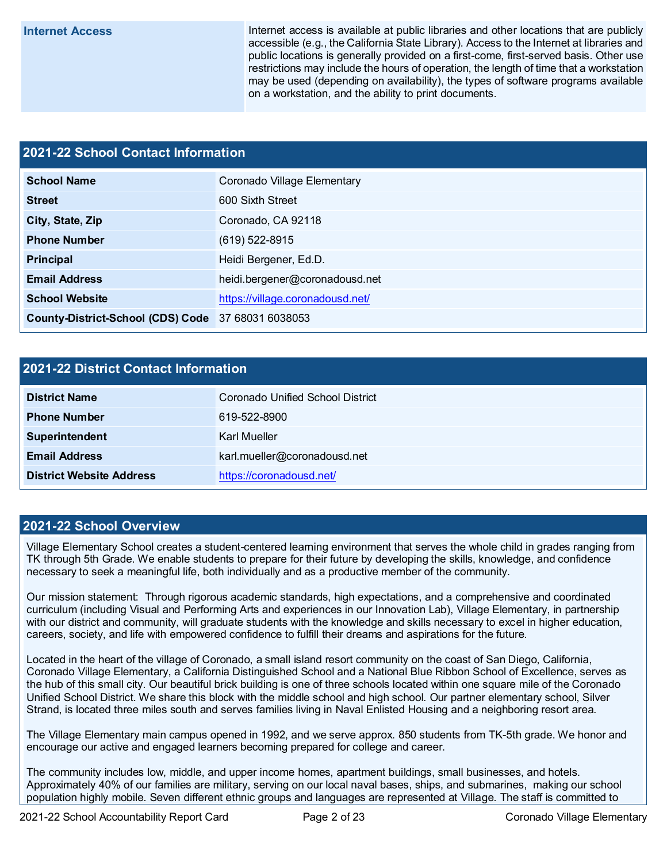**Internet Access** Internet access is available at public libraries and other locations that are publicly accessible (e.g., the California State Library). Access to the Internet at libraries and public locations is generally provided on a first-come, first-served basis. Other use restrictions may include the hours of operation, the length of time that a workstation may be used (depending on availability), the types of software programs available on a workstation, and the ability to print documents.

## **2021-22 School Contact Information**

| <b>School Name</b>                                 | Coronado Village Elementary      |  |  |  |  |
|----------------------------------------------------|----------------------------------|--|--|--|--|
| <b>Street</b>                                      | 600 Sixth Street                 |  |  |  |  |
| City, State, Zip                                   | Coronado, CA 92118               |  |  |  |  |
| <b>Phone Number</b>                                | $(619) 522 - 8915$               |  |  |  |  |
| Principal                                          | Heidi Bergener, Ed.D.            |  |  |  |  |
| <b>Email Address</b>                               | heidi.bergener@coronadousd.net   |  |  |  |  |
| <b>School Website</b>                              | https://village.coronadousd.net/ |  |  |  |  |
| County-District-School (CDS) Code 37 68031 6038053 |                                  |  |  |  |  |

### **2021-22 District Contact Information**

| <b>District Name</b>            | Coronado Unified School District |  |  |  |  |
|---------------------------------|----------------------------------|--|--|--|--|
| <b>Phone Number</b>             | 619-522-8900                     |  |  |  |  |
| Superintendent                  | Karl Mueller                     |  |  |  |  |
| <b>Email Address</b>            | karl.mueller@coronadousd.net     |  |  |  |  |
| <b>District Website Address</b> | https://coronadousd.net/         |  |  |  |  |

### **2021-22 School Overview**

Village Elementary School creates a student-centered learning environment that serves the whole child in grades ranging from TK through 5th Grade. We enable students to prepare for their future by developing the skills, knowledge, and confidence necessary to seek a meaningful life, both individually and as a productive member of the community.

Our mission statement: Through rigorous academic standards, high expectations, and a comprehensive and coordinated curriculum (including Visual and Performing Arts and experiences in our Innovation Lab), Village Elementary, in partnership with our district and community, will graduate students with the knowledge and skills necessary to excel in higher education, careers, society, and life with empowered confidence to fulfill their dreams and aspirations for the future.

Located in the heart of the village of Coronado, a small island resort community on the coast of San Diego, California, Coronado Village Elementary, a California Distinguished School and a National Blue Ribbon School of Excellence, serves as the hub of this small city. Our beautiful brick building is one of three schools located within one square mile of the Coronado Unified School District. We share this block with the middle school and high school. Our partner elementary school, Silver Strand, is located three miles south and serves families living in Naval Enlisted Housing and a neighboring resort area.

The Village Elementary main campus opened in 1992, and we serve approx. 850 students from TK-5th grade. We honor and encourage our active and engaged learners becoming prepared for college and career.

The community includes low, middle, and upper income homes, apartment buildings, small businesses, and hotels. Approximately 40% of our families are military, serving on our local naval bases, ships, and submarines, making our school population highly mobile. Seven different ethnic groups and languages are represented at Village. The staff is committed to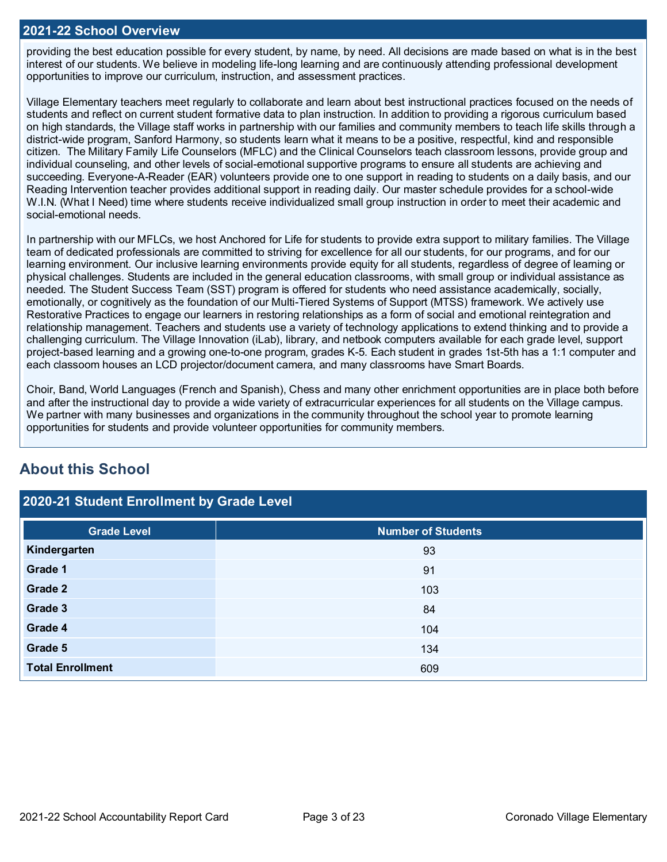### **2021-22 School Overview**

providing the best education possible for every student, by name, by need. All decisions are made based on what is in the best interest of our students. We believe in modeling life-long learning and are continuously attending professional development opportunities to improve our curriculum, instruction, and assessment practices.

Village Elementary teachers meet regularly to collaborate and learn about best instructional practices focused on the needs of students and reflect on current student formative data to plan instruction. In addition to providing a rigorous curriculum based on high standards, the Village staff works in partnership with our families and community members to teach life skills through a district-wide program, Sanford Harmony, so students learn what it means to be a positive, respectful, kind and responsible citizen. The Military Family Life Counselors (MFLC) and the Clinical Counselors teach classroom lessons, provide group and individual counseling, and other levels of social-emotional supportive programs to ensure all students are achieving and succeeding. Everyone-A-Reader (EAR) volunteers provide one to one support in reading to students on a daily basis, and our Reading Intervention teacher provides additional support in reading daily. Our master schedule provides for a school-wide W.I.N. (What I Need) time where students receive individualized small group instruction in order to meet their academic and social-emotional needs.

In partnership with our MFLCs, we host Anchored for Life for students to provide extra support to military families. The Village team of dedicated professionals are committed to striving for excellence for all our students, for our programs, and for our learning environment. Our inclusive learning environments provide equity for all students, regardless of degree of learning or physical challenges. Students are included in the general education classrooms, with small group or individual assistance as needed. The Student Success Team (SST) program is offered for students who need assistance academically, socially, emotionally, or cognitively as the foundation of our Multi-Tiered Systems of Support (MTSS) framework. We actively use Restorative Practices to engage our learners in restoring relationships as a form of social and emotional reintegration and relationship management. Teachers and students use a variety of technology applications to extend thinking and to provide a challenging curriculum. The Village Innovation (iLab), library, and netbook computers available for each grade level, support project-based learning and a growing one-to-one program, grades K-5. Each student in grades 1st-5th has a 1:1 computer and each classoom houses an LCD projector/document camera, and many classrooms have Smart Boards.

Choir, Band, World Languages (French and Spanish), Chess and many other enrichment opportunities are in place both before and after the instructional day to provide a wide variety of extracurricular experiences for all students on the Village campus. We partner with many businesses and organizations in the community throughout the school year to promote learning opportunities for students and provide volunteer opportunities for community members.

## **About this School**

## **2020-21 Student Enrollment by Grade Level**

| <b>Grade Level</b>      | Number of Students |
|-------------------------|--------------------|
| Kindergarten            | 93                 |
| Grade 1                 | 91                 |
| Grade 2                 | 103                |
| Grade 3                 | 84                 |
| Grade 4                 | 104                |
| Grade 5                 | 134                |
| <b>Total Enrollment</b> | 609                |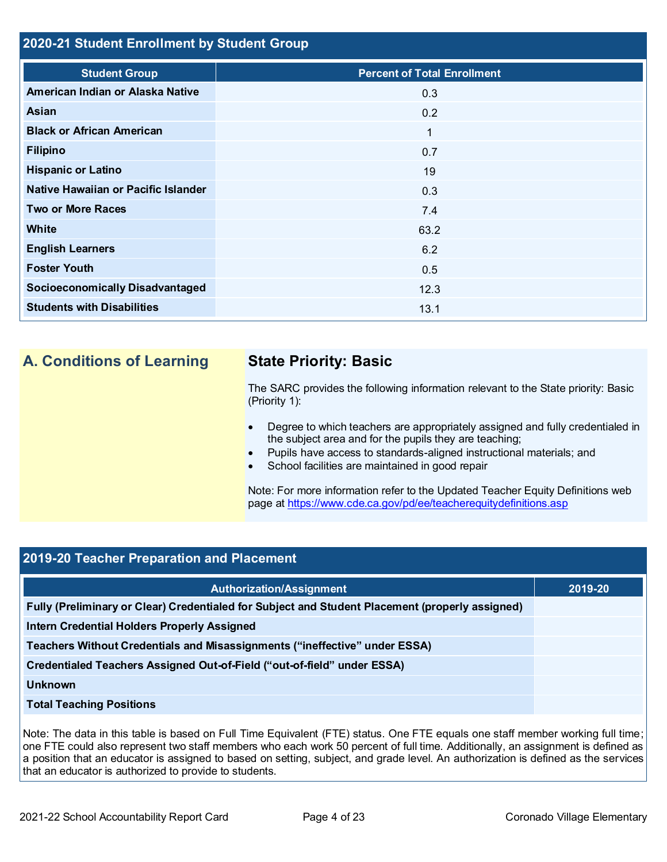## **2020-21 Student Enrollment by Student Group**

| <b>Student Group</b>                   | <b>Percent of Total Enrollment</b> |
|----------------------------------------|------------------------------------|
| American Indian or Alaska Native       | 0.3                                |
| Asian                                  | 0.2                                |
| <b>Black or African American</b>       | 1                                  |
| <b>Filipino</b>                        | 0.7                                |
| <b>Hispanic or Latino</b>              | 19                                 |
| Native Hawaiian or Pacific Islander    | 0.3                                |
| <b>Two or More Races</b>               | 7.4                                |
| White                                  | 63.2                               |
| <b>English Learners</b>                | 6.2                                |
| <b>Foster Youth</b>                    | 0.5                                |
| <b>Socioeconomically Disadvantaged</b> | 12.3                               |
| <b>Students with Disabilities</b>      | 13.1                               |

## **A. Conditions of Learning State Priority: Basic**

The SARC provides the following information relevant to the State priority: Basic (Priority 1):

- Degree to which teachers are appropriately assigned and fully credentialed in the subject area and for the pupils they are teaching;
- Pupils have access to standards-aligned instructional materials; and
- School facilities are maintained in good repair

Note: For more information refer to the Updated Teacher Equity Definitions web page at<https://www.cde.ca.gov/pd/ee/teacherequitydefinitions.asp>

## **2019-20 Teacher Preparation and Placement**

| <b>Authorization/Assignment</b>                                                                 | 2019-20 |
|-------------------------------------------------------------------------------------------------|---------|
| Fully (Preliminary or Clear) Credentialed for Subject and Student Placement (properly assigned) |         |
| <b>Intern Credential Holders Properly Assigned</b>                                              |         |
| Teachers Without Credentials and Misassignments ("ineffective" under ESSA)                      |         |
| Credentialed Teachers Assigned Out-of-Field ("out-of-field" under ESSA)                         |         |
| <b>Unknown</b>                                                                                  |         |
| <b>Total Teaching Positions</b>                                                                 |         |

Note: The data in this table is based on Full Time Equivalent (FTE) status. One FTE equals one staff member working full time; one FTE could also represent two staff members who each work 50 percent of full time. Additionally, an assignment is defined as a position that an educator is assigned to based on setting, subject, and grade level. An authorization is defined as the services that an educator is authorized to provide to students.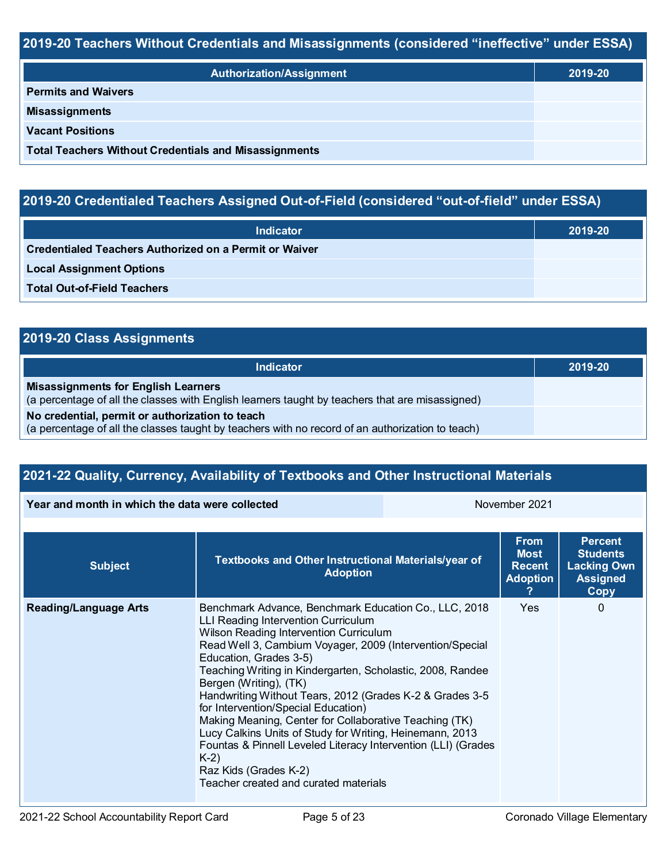## **2019-20 Teachers Without Credentials and Misassignments (considered "ineffective" under ESSA)**

| <b>Authorization/Assignment</b>                              | 2019-20 |
|--------------------------------------------------------------|---------|
| <b>Permits and Waivers</b>                                   |         |
| <b>Misassignments</b>                                        |         |
| <b>Vacant Positions</b>                                      |         |
| <b>Total Teachers Without Credentials and Misassignments</b> |         |

## **2019-20 Credentialed Teachers Assigned Out-of-Field (considered "out-of-field" under ESSA)**

| <b>Indicator</b>                                       | 2019-20 |
|--------------------------------------------------------|---------|
| Credentialed Teachers Authorized on a Permit or Waiver |         |
| <b>Local Assignment Options</b>                        |         |
| <b>Total Out-of-Field Teachers</b>                     |         |

## **2019-20 Class Assignments**

| Indicator                                                                                                                                           | 2019-20 |
|-----------------------------------------------------------------------------------------------------------------------------------------------------|---------|
| <b>Misassignments for English Learners</b><br>(a percentage of all the classes with English learners taught by teachers that are misassigned)       |         |
| No credential, permit or authorization to teach<br>(a percentage of all the classes taught by teachers with no record of an authorization to teach) |         |

## **2021-22 Quality, Currency, Availability of Textbooks and Other Instructional Materials**

#### **Year and month in which the data were collected** November 2021

| <b>Subject</b>               | Textbooks and Other Instructional Materials/year of<br><b>Adoption</b>                                                                                                                                                                                                                                                                                                                                                                                                                                                                                                                                                                                                                            | <b>From</b><br><b>Most</b><br><b>Recent</b><br><b>Adoption</b> | <b>Percent</b><br><b>Students</b><br><b>Lacking Own</b><br><b>Assigned</b><br>Copy |
|------------------------------|---------------------------------------------------------------------------------------------------------------------------------------------------------------------------------------------------------------------------------------------------------------------------------------------------------------------------------------------------------------------------------------------------------------------------------------------------------------------------------------------------------------------------------------------------------------------------------------------------------------------------------------------------------------------------------------------------|----------------------------------------------------------------|------------------------------------------------------------------------------------|
| <b>Reading/Language Arts</b> | Benchmark Advance, Benchmark Education Co., LLC, 2018<br><b>LLI Reading Intervention Curriculum</b><br>Wilson Reading Intervention Curriculum<br>Read Well 3, Cambium Voyager, 2009 (Intervention/Special<br>Education, Grades 3-5)<br>Teaching Writing in Kindergarten, Scholastic, 2008, Randee<br>Bergen (Writing), (TK)<br>Handwriting Without Tears, 2012 (Grades K-2 & Grades 3-5<br>for Intervention/Special Education)<br>Making Meaning, Center for Collaborative Teaching (TK)<br>Lucy Calkins Units of Study for Writing, Heinemann, 2013<br>Fountas & Pinnell Leveled Literacy Intervention (LLI) (Grades<br>$K-2)$<br>Raz Kids (Grades K-2)<br>Teacher created and curated materials | Yes                                                            | 0                                                                                  |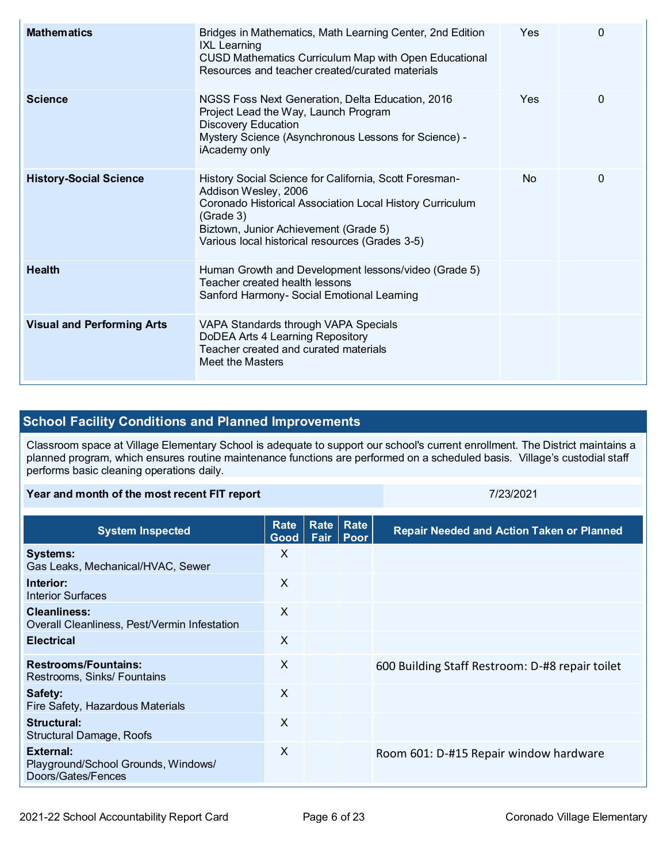| <b>Mathematics</b>                | Bridges in Mathematics, Math Learning Center, 2nd Edition<br><b>IXL Learning</b><br><b>CUSD Mathematics Curriculum Map with Open Educational</b><br>Resources and teacher created/curated materials                                                 | <b>Yes</b> | 0        |
|-----------------------------------|-----------------------------------------------------------------------------------------------------------------------------------------------------------------------------------------------------------------------------------------------------|------------|----------|
| <b>Science</b>                    | NGSS Foss Next Generation, Delta Education, 2016<br>Project Lead the Way, Launch Program<br><b>Discovery Education</b><br>Mystery Science (Asynchronous Lessons for Science) -<br>iAcademy only                                                     | <b>Yes</b> | $\Omega$ |
| <b>History-Social Science</b>     | History Social Science for California, Scott Foresman-<br>Addison Wesley, 2006<br>Coronado Historical Association Local History Curriculum<br>(Grade 3)<br>Biztown, Junior Achievement (Grade 5)<br>Various local historical resources (Grades 3-5) | <b>No</b>  | 0        |
| <b>Health</b>                     | Human Growth and Development lessons/video (Grade 5)<br>Teacher created health lessons<br>Sanford Harmony- Social Emotional Learning                                                                                                                |            |          |
| <b>Visual and Performing Arts</b> | VAPA Standards through VAPA Specials<br>DoDEA Arts 4 Learning Repository<br>Teacher created and curated materials<br>Meet the Masters                                                                                                               |            |          |

## **School Facility Conditions and Planned Improvements**

Classroom space at Village Elementary School is adequate to support our school's current enrollment. The District maintains a planned program, which ensures routine maintenance functions are performed on a scheduled basis. Village's custodial staff performs basic cleaning operations daily.

#### **Year and month of the most recent FIT report** 7/23/2021

| <b>System Inspected</b>                                                | Rate<br>Good | Rate<br>Fair | Rate<br>Poor | <b>Repair Needed and Action Taken or Planned</b> |
|------------------------------------------------------------------------|--------------|--------------|--------------|--------------------------------------------------|
| <b>Systems:</b><br>Gas Leaks, Mechanical/HVAC, Sewer                   | $\times$     |              |              |                                                  |
| Interior:<br><b>Interior Surfaces</b>                                  | $\times$     |              |              |                                                  |
| Cleanliness:<br>Overall Cleanliness, Pest/Vermin Infestation           | $\times$     |              |              |                                                  |
| <b>Electrical</b>                                                      | X            |              |              |                                                  |
| <b>Restrooms/Fountains:</b><br>Restrooms, Sinks/ Fountains             | $\times$     |              |              | 600 Building Staff Restroom: D-#8 repair toilet  |
| Safety:<br>Fire Safety, Hazardous Materials                            | $\sf X$      |              |              |                                                  |
| Structural:<br>Structural Damage, Roofs                                | X            |              |              |                                                  |
| External:<br>Playground/School Grounds, Windows/<br>Doors/Gates/Fences | $\sf X$      |              |              | Room 601: D-#15 Repair window hardware           |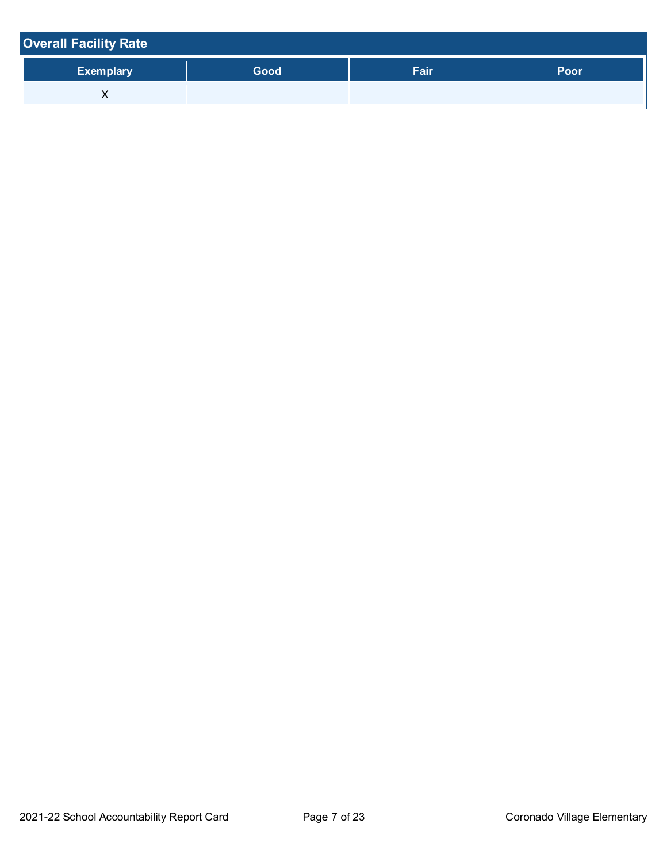| <b>Overall Facility Rate</b> |      |      |      |  |  |  |
|------------------------------|------|------|------|--|--|--|
| <b>Exemplary</b>             | Good | Fair | Poor |  |  |  |
| ⌒                            |      |      |      |  |  |  |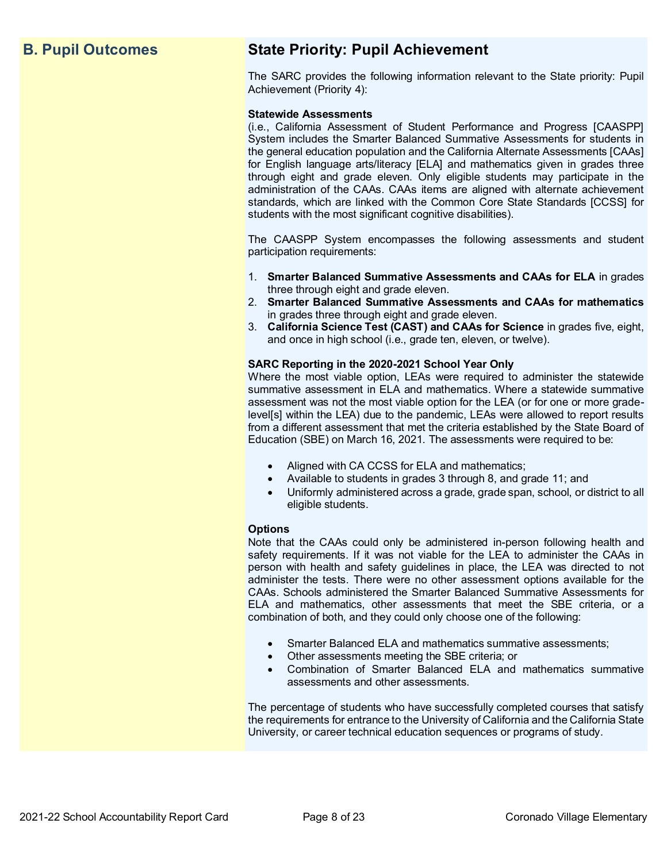## **B. Pupil Outcomes State Priority: Pupil Achievement**

The SARC provides the following information relevant to the State priority: Pupil Achievement (Priority 4):

#### **Statewide Assessments**

(i.e., California Assessment of Student Performance and Progress [CAASPP] System includes the Smarter Balanced Summative Assessments for students in the general education population and the California Alternate Assessments [CAAs] for English language arts/literacy [ELA] and mathematics given in grades three through eight and grade eleven. Only eligible students may participate in the administration of the CAAs. CAAs items are aligned with alternate achievement standards, which are linked with the Common Core State Standards [CCSS] for students with the most significant cognitive disabilities).

The CAASPP System encompasses the following assessments and student participation requirements:

- 1. **Smarter Balanced Summative Assessments and CAAs for ELA** in grades three through eight and grade eleven.
- 2. **Smarter Balanced Summative Assessments and CAAs for mathematics** in grades three through eight and grade eleven.
- 3. **California Science Test (CAST) and CAAs for Science** in grades five, eight, and once in high school (i.e., grade ten, eleven, or twelve).

#### **SARC Reporting in the 2020-2021 School Year Only**

Where the most viable option, LEAs were required to administer the statewide summative assessment in ELA and mathematics. Where a statewide summative assessment was not the most viable option for the LEA (or for one or more gradelevel[s] within the LEA) due to the pandemic, LEAs were allowed to report results from a different assessment that met the criteria established by the State Board of Education (SBE) on March 16, 2021. The assessments were required to be:

- Aligned with CA CCSS for ELA and mathematics;
- Available to students in grades 3 through 8, and grade 11; and
- Uniformly administered across a grade, grade span, school, or district to all eligible students.

#### **Options**

Note that the CAAs could only be administered in-person following health and safety requirements. If it was not viable for the LEA to administer the CAAs in person with health and safety guidelines in place, the LEA was directed to not administer the tests. There were no other assessment options available for the CAAs. Schools administered the Smarter Balanced Summative Assessments for ELA and mathematics, other assessments that meet the SBE criteria, or a combination of both, and they could only choose one of the following:

- Smarter Balanced ELA and mathematics summative assessments;
- Other assessments meeting the SBE criteria; or
- Combination of Smarter Balanced ELA and mathematics summative assessments and other assessments.

The percentage of students who have successfully completed courses that satisfy the requirements for entrance to the University of California and the California State University, or career technical education sequences or programs of study.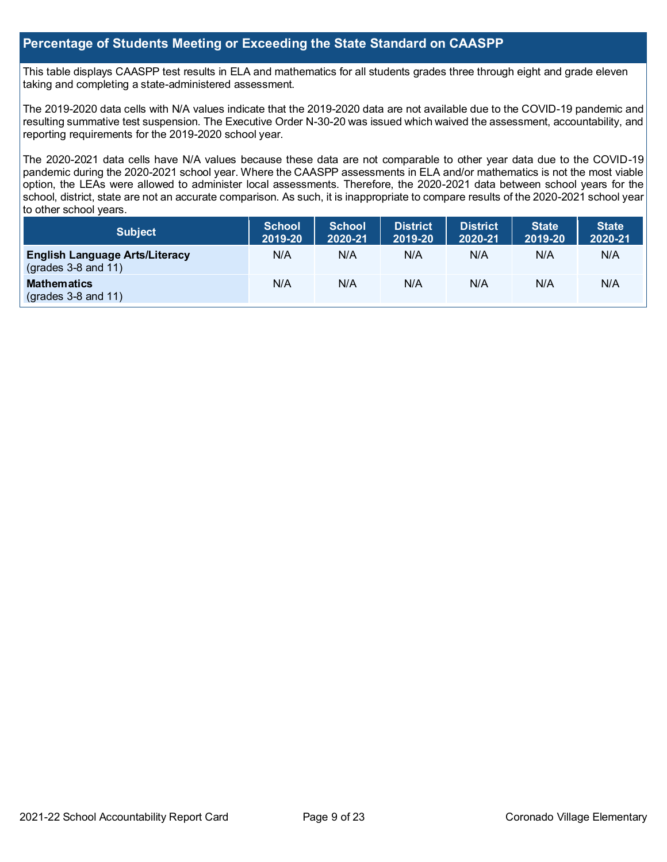## **Percentage of Students Meeting or Exceeding the State Standard on CAASPP**

This table displays CAASPP test results in ELA and mathematics for all students grades three through eight and grade eleven taking and completing a state-administered assessment.

The 2019-2020 data cells with N/A values indicate that the 2019-2020 data are not available due to the COVID-19 pandemic and resulting summative test suspension. The Executive Order N-30-20 was issued which waived the assessment, accountability, and reporting requirements for the 2019-2020 school year.

The 2020-2021 data cells have N/A values because these data are not comparable to other year data due to the COVID-19 pandemic during the 2020-2021 school year. Where the CAASPP assessments in ELA and/or mathematics is not the most viable option, the LEAs were allowed to administer local assessments. Therefore, the 2020-2021 data between school years for the school, district, state are not an accurate comparison. As such, it is inappropriate to compare results of the 2020-2021 school year to other school years.

| <b>Subject</b>                                                       | <b>School</b><br>2019-20 | <b>School</b><br>2020-21 | <b>District</b><br>2019-20 | <b>District</b><br>2020-21 | <b>State</b><br>2019-20 | <b>State</b><br>2020-21 |
|----------------------------------------------------------------------|--------------------------|--------------------------|----------------------------|----------------------------|-------------------------|-------------------------|
| <b>English Language Arts/Literacy</b><br>$\left($ grades 3-8 and 11) | N/A                      | N/A                      | N/A                        | N/A                        | N/A                     | N/A                     |
| <b>Mathematics</b><br>$(grades 3-8 and 11)$                          | N/A                      | N/A                      | N/A                        | N/A                        | N/A                     | N/A                     |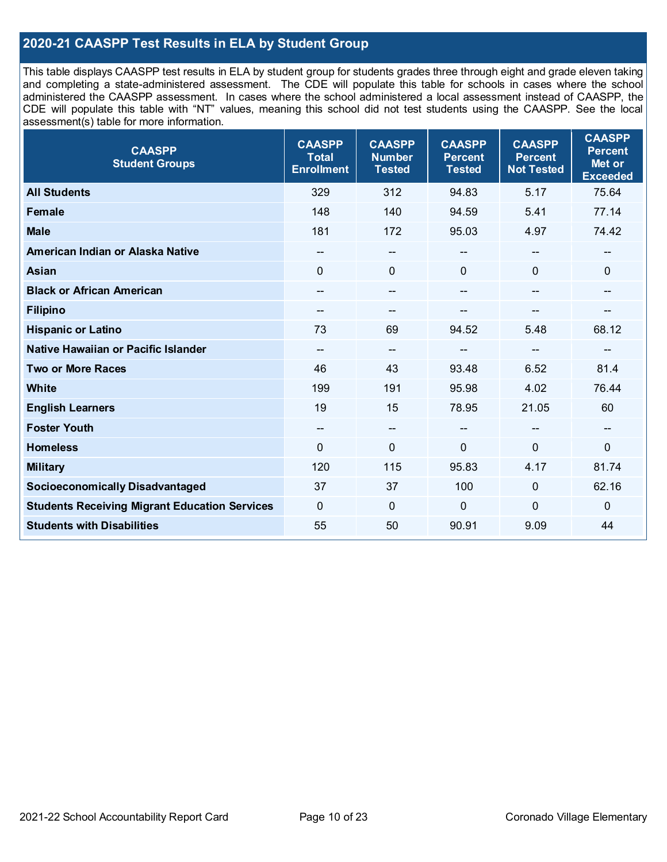## **2020-21 CAASPP Test Results in ELA by Student Group**

This table displays CAASPP test results in ELA by student group for students grades three through eight and grade eleven taking and completing a state-administered assessment. The CDE will populate this table for schools in cases where the school administered the CAASPP assessment. In cases where the school administered a local assessment instead of CAASPP, the CDE will populate this table with "NT" values, meaning this school did not test students using the CAASPP. See the local assessment(s) table for more information.

| <b>CAASPP</b><br><b>Student Groups</b>               | <b>CAASPP</b><br><b>Total</b><br><b>Enrollment</b> | <b>CAASPP</b><br><b>Number</b><br><b>Tested</b> | <b>CAASPP</b><br><b>Percent</b><br><b>Tested</b> | <b>CAASPP</b><br><b>Percent</b><br><b>Not Tested</b> | <b>CAASPP</b><br><b>Percent</b><br>Met or<br><b>Exceeded</b> |
|------------------------------------------------------|----------------------------------------------------|-------------------------------------------------|--------------------------------------------------|------------------------------------------------------|--------------------------------------------------------------|
| <b>All Students</b>                                  | 329                                                | 312                                             | 94.83                                            | 5.17                                                 | 75.64                                                        |
| <b>Female</b>                                        | 148                                                | 140                                             | 94.59                                            | 5.41                                                 | 77.14                                                        |
| <b>Male</b>                                          | 181                                                | 172                                             | 95.03                                            | 4.97                                                 | 74.42                                                        |
| American Indian or Alaska Native                     | $\hspace{0.05cm}$ – $\hspace{0.05cm}$              | $\hspace{0.05cm}$ $\hspace{0.05cm}$             | --                                               | $\hspace{0.05cm}$ – $\hspace{0.05cm}$                | $\qquad \qquad -$                                            |
| <b>Asian</b>                                         | $\mathbf{0}$                                       | $\mathbf 0$                                     | $\overline{0}$                                   | $\Omega$                                             | $\mathbf 0$                                                  |
| <b>Black or African American</b>                     |                                                    | $\overline{\phantom{a}}$                        |                                                  | $\overline{\phantom{a}}$                             | $-$                                                          |
| <b>Filipino</b>                                      | $\overline{\phantom{a}}$                           | --                                              |                                                  |                                                      | --                                                           |
| <b>Hispanic or Latino</b>                            | 73                                                 | 69                                              | 94.52                                            | 5.48                                                 | 68.12                                                        |
| Native Hawaiian or Pacific Islander                  | $\hspace{0.05cm}$ – $\hspace{0.05cm}$              | $\overline{\phantom{a}}$                        | --                                               | $\mathbf{m}$                                         | $-$                                                          |
| <b>Two or More Races</b>                             | 46                                                 | 43                                              | 93.48                                            | 6.52                                                 | 81.4                                                         |
| <b>White</b>                                         | 199                                                | 191                                             | 95.98                                            | 4.02                                                 | 76.44                                                        |
| <b>English Learners</b>                              | 19                                                 | 15                                              | 78.95                                            | 21.05                                                | 60                                                           |
| <b>Foster Youth</b>                                  | $\hspace{0.05cm}$ – $\hspace{0.05cm}$              | $\overline{\phantom{m}}$                        | --                                               | $\mathbf{m}$                                         | $\overline{\phantom{a}}$                                     |
| <b>Homeless</b>                                      | $\mathbf 0$                                        | $\mathbf 0$                                     | $\mathbf 0$                                      | $\mathbf 0$                                          | $\mathbf 0$                                                  |
| <b>Military</b>                                      | 120                                                | 115                                             | 95.83                                            | 4.17                                                 | 81.74                                                        |
| <b>Socioeconomically Disadvantaged</b>               | 37                                                 | 37                                              | 100                                              | $\Omega$                                             | 62.16                                                        |
| <b>Students Receiving Migrant Education Services</b> | $\mathbf 0$                                        | $\mathbf 0$                                     | $\mathbf 0$                                      | $\mathbf 0$                                          | $\mathbf 0$                                                  |
| <b>Students with Disabilities</b>                    | 55                                                 | 50                                              | 90.91                                            | 9.09                                                 | 44                                                           |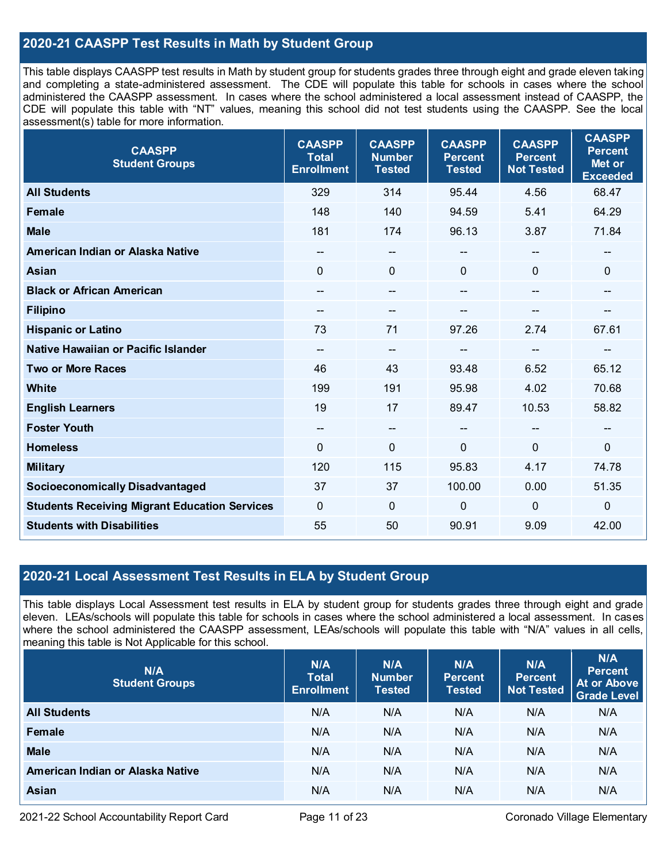## **2020-21 CAASPP Test Results in Math by Student Group**

This table displays CAASPP test results in Math by student group for students grades three through eight and grade eleven taking and completing a state-administered assessment. The CDE will populate this table for schools in cases where the school administered the CAASPP assessment. In cases where the school administered a local assessment instead of CAASPP, the CDE will populate this table with "NT" values, meaning this school did not test students using the CAASPP. See the local assessment(s) table for more information.

| <b>CAASPP</b><br><b>Student Groups</b>               | <b>CAASPP</b><br><b>Total</b><br><b>Enrollment</b> | <b>CAASPP</b><br><b>Number</b><br><b>Tested</b> | <b>CAASPP</b><br><b>Percent</b><br><b>Tested</b> | <b>CAASPP</b><br><b>Percent</b><br><b>Not Tested</b> | <b>CAASPP</b><br><b>Percent</b><br>Met or<br><b>Exceeded</b> |
|------------------------------------------------------|----------------------------------------------------|-------------------------------------------------|--------------------------------------------------|------------------------------------------------------|--------------------------------------------------------------|
| <b>All Students</b>                                  | 329                                                | 314                                             | 95.44                                            | 4.56                                                 | 68.47                                                        |
| <b>Female</b>                                        | 148                                                | 140                                             | 94.59                                            | 5.41                                                 | 64.29                                                        |
| <b>Male</b>                                          | 181                                                | 174                                             | 96.13                                            | 3.87                                                 | 71.84                                                        |
| American Indian or Alaska Native                     | --                                                 | --                                              | --                                               | $\qquad \qquad -$                                    | --                                                           |
| <b>Asian</b>                                         | $\mathbf{0}$                                       | 0                                               | $\Omega$                                         | 0                                                    | $\mathbf 0$                                                  |
| <b>Black or African American</b>                     | --                                                 | $-$                                             | $\qquad \qquad \blacksquare$                     | $-$                                                  | $\qquad \qquad \blacksquare$                                 |
| <b>Filipino</b>                                      |                                                    | --                                              |                                                  |                                                      |                                                              |
| <b>Hispanic or Latino</b>                            | 73                                                 | 71                                              | 97.26                                            | 2.74                                                 | 67.61                                                        |
| Native Hawaiian or Pacific Islander                  | --                                                 | $- -$                                           | --                                               | --                                                   | --                                                           |
| <b>Two or More Races</b>                             | 46                                                 | 43                                              | 93.48                                            | 6.52                                                 | 65.12                                                        |
| <b>White</b>                                         | 199                                                | 191                                             | 95.98                                            | 4.02                                                 | 70.68                                                        |
| <b>English Learners</b>                              | 19                                                 | 17                                              | 89.47                                            | 10.53                                                | 58.82                                                        |
| <b>Foster Youth</b>                                  | $\hspace{0.05cm}$ – $\hspace{0.05cm}$              | $\overline{\phantom{a}}$                        | $-$                                              | $-$                                                  | $\qquad \qquad \qquad \qquad$                                |
| <b>Homeless</b>                                      | $\mathbf 0$                                        | $\mathbf 0$                                     | $\mathbf 0$                                      | 0                                                    | $\mathbf 0$                                                  |
| <b>Military</b>                                      | 120                                                | 115                                             | 95.83                                            | 4.17                                                 | 74.78                                                        |
| <b>Socioeconomically Disadvantaged</b>               | 37                                                 | 37                                              | 100.00                                           | 0.00                                                 | 51.35                                                        |
| <b>Students Receiving Migrant Education Services</b> | 0                                                  | $\mathbf 0$                                     | $\mathbf 0$                                      | 0                                                    | $\mathbf 0$                                                  |
| <b>Students with Disabilities</b>                    | 55                                                 | 50                                              | 90.91                                            | 9.09                                                 | 42.00                                                        |

### **2020-21 Local Assessment Test Results in ELA by Student Group**

This table displays Local Assessment test results in ELA by student group for students grades three through eight and grade eleven. LEAs/schools will populate this table for schools in cases where the school administered a local assessment. In cases where the school administered the CAASPP assessment, LEAs/schools will populate this table with "N/A" values in all cells, meaning this table is Not Applicable for this school.

| N/A<br><b>Student Groups</b>     | N/A<br><b>Total</b><br><b>Enrollment</b> | N/A<br><b>Number</b><br><b>Tested</b> | N/A<br><b>Percent</b><br><b>Tested</b> | N/A<br><b>Percent</b><br><b>Not Tested</b> | N/A<br><b>Percent</b><br><b>At or Above</b><br><b>Grade Level</b> |
|----------------------------------|------------------------------------------|---------------------------------------|----------------------------------------|--------------------------------------------|-------------------------------------------------------------------|
| <b>All Students</b>              | N/A                                      | N/A                                   | N/A                                    | N/A                                        | N/A                                                               |
| Female                           | N/A                                      | N/A                                   | N/A                                    | N/A                                        | N/A                                                               |
| <b>Male</b>                      | N/A                                      | N/A                                   | N/A                                    | N/A                                        | N/A                                                               |
| American Indian or Alaska Native | N/A                                      | N/A                                   | N/A                                    | N/A                                        | N/A                                                               |
| <b>Asian</b>                     | N/A                                      | N/A                                   | N/A                                    | N/A                                        | N/A                                                               |

2021-22 School Accountability Report Card **Page 11 of 23** Coronado Village Elementary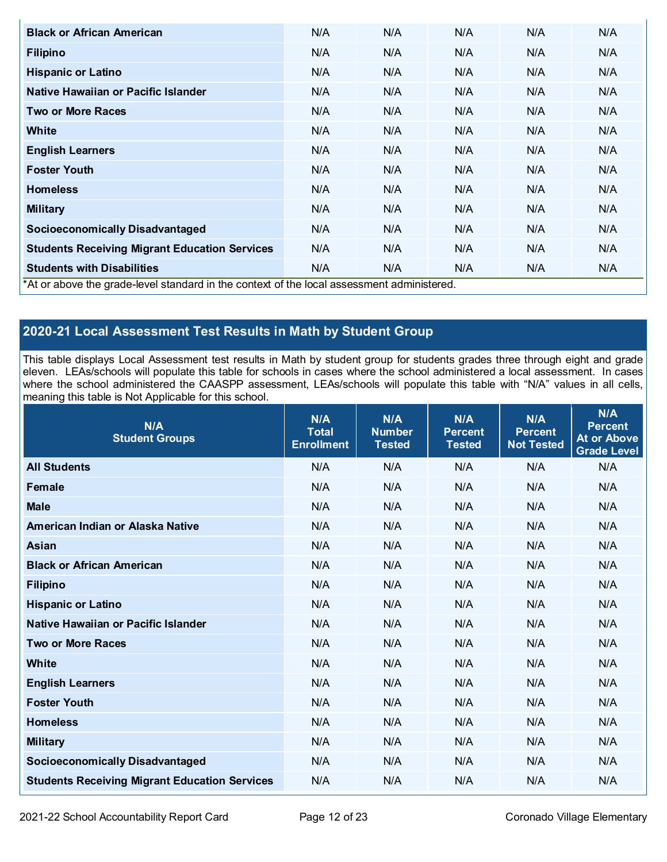| <b>Black or African American</b>                                                          | N/A | N/A | N/A | N/A | N/A |
|-------------------------------------------------------------------------------------------|-----|-----|-----|-----|-----|
| <b>Filipino</b>                                                                           | N/A | N/A | N/A | N/A | N/A |
| <b>Hispanic or Latino</b>                                                                 | N/A | N/A | N/A | N/A | N/A |
| Native Hawaiian or Pacific Islander                                                       | N/A | N/A | N/A | N/A | N/A |
| <b>Two or More Races</b>                                                                  | N/A | N/A | N/A | N/A | N/A |
| White                                                                                     | N/A | N/A | N/A | N/A | N/A |
| <b>English Learners</b>                                                                   | N/A | N/A | N/A | N/A | N/A |
| <b>Foster Youth</b>                                                                       | N/A | N/A | N/A | N/A | N/A |
| <b>Homeless</b>                                                                           | N/A | N/A | N/A | N/A | N/A |
| <b>Military</b>                                                                           | N/A | N/A | N/A | N/A | N/A |
| <b>Socioeconomically Disadvantaged</b>                                                    | N/A | N/A | N/A | N/A | N/A |
| <b>Students Receiving Migrant Education Services</b>                                      | N/A | N/A | N/A | N/A | N/A |
| <b>Students with Disabilities</b>                                                         | N/A | N/A | N/A | N/A | N/A |
| *At or above the grade-level standard in the context of the local assessment administered |     |     |     |     |     |

\*At or above the grade-level standard in the context of the local assessment administered.

## **2020-21 Local Assessment Test Results in Math by Student Group**

This table displays Local Assessment test results in Math by student group for students grades three through eight and grade eleven. LEAs/schools will populate this table for schools in cases where the school administered a local assessment. In cases where the school administered the CAASPP assessment, LEAs/schools will populate this table with "N/A" values in all cells, meaning this table is Not Applicable for this school.

| N/A<br><b>Student Groups</b>                         | N/A<br><b>Total</b><br><b>Enrollment</b> | N/A<br><b>Number</b><br><b>Tested</b> | N/A<br><b>Percent</b><br><b>Tested</b> | N/A<br><b>Percent</b><br><b>Not Tested</b> | N/A<br><b>Percent</b><br>At or Above<br><b>Grade Level</b> |
|------------------------------------------------------|------------------------------------------|---------------------------------------|----------------------------------------|--------------------------------------------|------------------------------------------------------------|
| <b>All Students</b>                                  | N/A                                      | N/A                                   | N/A                                    | N/A                                        | N/A                                                        |
| <b>Female</b>                                        | N/A                                      | N/A                                   | N/A                                    | N/A                                        | N/A                                                        |
| <b>Male</b>                                          | N/A                                      | N/A                                   | N/A                                    | N/A                                        | N/A                                                        |
| American Indian or Alaska Native                     | N/A                                      | N/A                                   | N/A                                    | N/A                                        | N/A                                                        |
| <b>Asian</b>                                         | N/A                                      | N/A                                   | N/A                                    | N/A                                        | N/A                                                        |
| <b>Black or African American</b>                     | N/A                                      | N/A                                   | N/A                                    | N/A                                        | N/A                                                        |
| <b>Filipino</b>                                      | N/A                                      | N/A                                   | N/A                                    | N/A                                        | N/A                                                        |
| <b>Hispanic or Latino</b>                            | N/A                                      | N/A                                   | N/A                                    | N/A                                        | N/A                                                        |
| Native Hawaiian or Pacific Islander                  | N/A                                      | N/A                                   | N/A                                    | N/A                                        | N/A                                                        |
| <b>Two or More Races</b>                             | N/A                                      | N/A                                   | N/A                                    | N/A                                        | N/A                                                        |
| <b>White</b>                                         | N/A                                      | N/A                                   | N/A                                    | N/A                                        | N/A                                                        |
| <b>English Learners</b>                              | N/A                                      | N/A                                   | N/A                                    | N/A                                        | N/A                                                        |
| <b>Foster Youth</b>                                  | N/A                                      | N/A                                   | N/A                                    | N/A                                        | N/A                                                        |
| <b>Homeless</b>                                      | N/A                                      | N/A                                   | N/A                                    | N/A                                        | N/A                                                        |
| <b>Military</b>                                      | N/A                                      | N/A                                   | N/A                                    | N/A                                        | N/A                                                        |
| <b>Socioeconomically Disadvantaged</b>               | N/A                                      | N/A                                   | N/A                                    | N/A                                        | N/A                                                        |
| <b>Students Receiving Migrant Education Services</b> | N/A                                      | N/A                                   | N/A                                    | N/A                                        | N/A                                                        |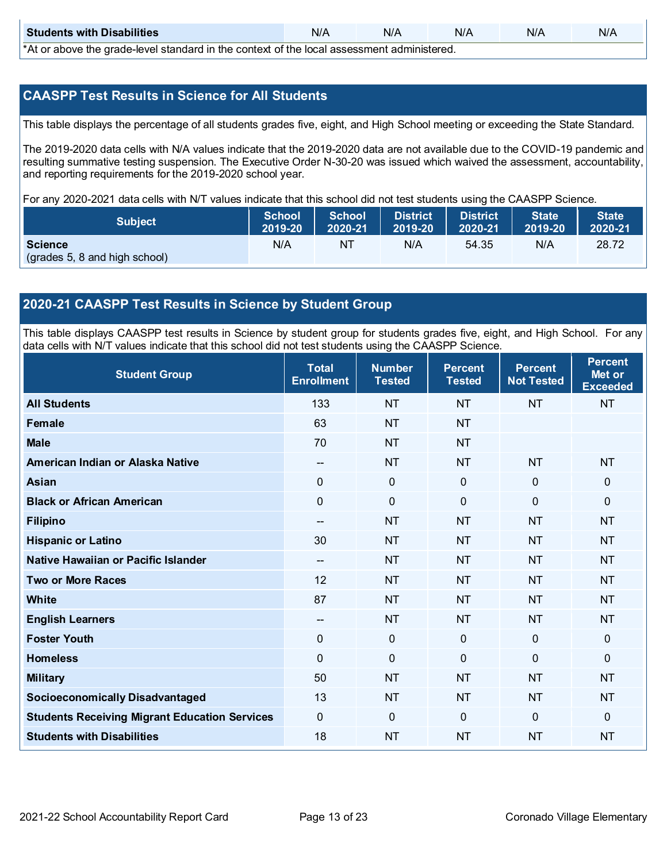| <b>Students with Disabilities</b>                                                                 | N/A | N/A | N/A | N/A | N/A |  |  |  |  |
|---------------------------------------------------------------------------------------------------|-----|-----|-----|-----|-----|--|--|--|--|
| $*$ $\wedge$ ar above the arade lovel standard in the context of the lead accessment administered |     |     |     |     |     |  |  |  |  |

\*At or above the grade-level standard in the context of the local assessment administered.

## **CAASPP Test Results in Science for All Students**

This table displays the percentage of all students grades five, eight, and High School meeting or exceeding the State Standard.

The 2019-2020 data cells with N/A values indicate that the 2019-2020 data are not available due to the COVID-19 pandemic and resulting summative testing suspension. The Executive Order N-30-20 was issued which waived the assessment, accountability, and reporting requirements for the 2019-2020 school year.

For any 2020-2021 data cells with N/T values indicate that this school did not test students using the CAASPP Science.

| <b>Subject</b>                                  | School  | <b>School</b> | <b>District</b> | <b>District</b> | <b>State</b>          | <b>State</b> |
|-------------------------------------------------|---------|---------------|-----------------|-----------------|-----------------------|--------------|
|                                                 | 2019-20 | 2020-21       | $ 2019-20 $     | 2020-21         | $\overline{2019}$ -20 | 2020-21      |
| <b>Science</b><br>(grades 5, 8 and high school) | N/A     | NT            | N/A             | 54.35           | N/A                   | 28.72        |

## **2020-21 CAASPP Test Results in Science by Student Group**

This table displays CAASPP test results in Science by student group for students grades five, eight, and High School. For any data cells with N/T values indicate that this school did not test students using the CAASPP Science.

| <b>Student Group</b>                                 | <b>Total</b><br><b>Enrollment</b>     | <b>Number</b><br><b>Tested</b> | <b>Percent</b><br><b>Tested</b> | <b>Percent</b><br><b>Not Tested</b> | <b>Percent</b><br>Met or<br><b>Exceeded</b> |
|------------------------------------------------------|---------------------------------------|--------------------------------|---------------------------------|-------------------------------------|---------------------------------------------|
| <b>All Students</b>                                  | 133                                   | <b>NT</b>                      | <b>NT</b>                       | <b>NT</b>                           | <b>NT</b>                                   |
| <b>Female</b>                                        | 63                                    | <b>NT</b>                      | <b>NT</b>                       |                                     |                                             |
| <b>Male</b>                                          | 70                                    | <b>NT</b>                      | <b>NT</b>                       |                                     |                                             |
| American Indian or Alaska Native                     | $\hspace{0.05cm}$ – $\hspace{0.05cm}$ | <b>NT</b>                      | <b>NT</b>                       | <b>NT</b>                           | <b>NT</b>                                   |
| <b>Asian</b>                                         | $\mathbf 0$                           | $\mathbf 0$                    | $\mathbf 0$                     | $\mathbf 0$                         | $\mathbf 0$                                 |
| <b>Black or African American</b>                     | $\mathbf 0$                           | $\mathbf 0$                    | $\mathbf 0$                     | $\mathbf 0$                         | 0                                           |
| <b>Filipino</b>                                      | $-$                                   | <b>NT</b>                      | <b>NT</b>                       | <b>NT</b>                           | <b>NT</b>                                   |
| <b>Hispanic or Latino</b>                            | 30                                    | <b>NT</b>                      | <b>NT</b>                       | <b>NT</b>                           | <b>NT</b>                                   |
| Native Hawaiian or Pacific Islander                  | --                                    | <b>NT</b>                      | <b>NT</b>                       | <b>NT</b>                           | <b>NT</b>                                   |
| <b>Two or More Races</b>                             | 12                                    | <b>NT</b>                      | <b>NT</b>                       | <b>NT</b>                           | <b>NT</b>                                   |
| <b>White</b>                                         | 87                                    | <b>NT</b>                      | <b>NT</b>                       | <b>NT</b>                           | <b>NT</b>                                   |
| <b>English Learners</b>                              | --                                    | <b>NT</b>                      | <b>NT</b>                       | <b>NT</b>                           | <b>NT</b>                                   |
| <b>Foster Youth</b>                                  | $\mathbf 0$                           | $\pmb{0}$                      | $\mathbf 0$                     | $\mathbf 0$                         | $\mathbf 0$                                 |
| <b>Homeless</b>                                      | $\mathbf{0}$                          | $\mathbf 0$                    | $\mathbf 0$                     | $\mathbf 0$                         | 0                                           |
| <b>Military</b>                                      | 50                                    | <b>NT</b>                      | <b>NT</b>                       | <b>NT</b>                           | <b>NT</b>                                   |
| <b>Socioeconomically Disadvantaged</b>               | 13                                    | <b>NT</b>                      | <b>NT</b>                       | <b>NT</b>                           | <b>NT</b>                                   |
| <b>Students Receiving Migrant Education Services</b> | $\mathbf 0$                           | $\mathbf 0$                    | $\Omega$                        | $\mathbf 0$                         | 0                                           |
| <b>Students with Disabilities</b>                    | 18                                    | <b>NT</b>                      | <b>NT</b>                       | <b>NT</b>                           | <b>NT</b>                                   |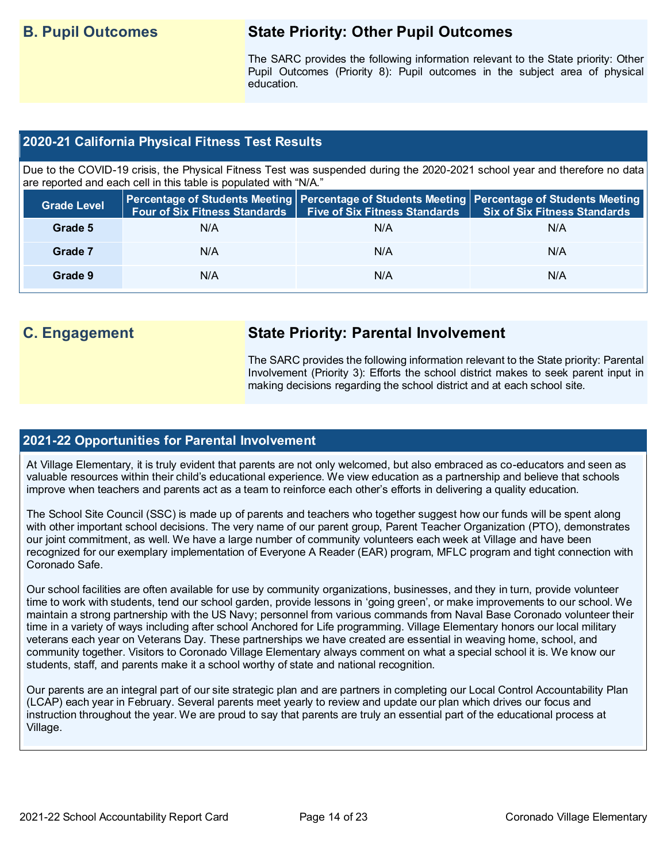## **B. Pupil Outcomes State Priority: Other Pupil Outcomes**

The SARC provides the following information relevant to the State priority: Other Pupil Outcomes (Priority 8): Pupil outcomes in the subject area of physical education.

## **2020-21 California Physical Fitness Test Results**

Due to the COVID-19 crisis, the Physical Fitness Test was suspended during the 2020-2021 school year and therefore no data are reported and each cell in this table is populated with "N/A."

| <b>Grade Level</b> | <b>Four of Six Fitness Standards</b> | Five of Six Fitness Standards   Six of Six Fitness Standards | Percentage of Students Meeting Percentage of Students Meeting Percentage of Students Meeting |
|--------------------|--------------------------------------|--------------------------------------------------------------|----------------------------------------------------------------------------------------------|
| Grade 5            | N/A                                  | N/A                                                          | N/A                                                                                          |
| Grade 7            | N/A                                  | N/A                                                          | N/A                                                                                          |
| Grade 9            | N/A                                  | N/A                                                          | N/A                                                                                          |

## **C. Engagement State Priority: Parental Involvement**

The SARC provides the following information relevant to the State priority: Parental Involvement (Priority 3): Efforts the school district makes to seek parent input in making decisions regarding the school district and at each school site.

## **2021-22 Opportunities for Parental Involvement**

At Village Elementary, it is truly evident that parents are not only welcomed, but also embraced as co-educators and seen as valuable resources within their child's educational experience. We view education as a partnership and believe that schools improve when teachers and parents act as a team to reinforce each other's efforts in delivering a quality education.

The School Site Council (SSC) is made up of parents and teachers who together suggest how our funds will be spent along with other important school decisions. The very name of our parent group, Parent Teacher Organization (PTO), demonstrates our joint commitment, as well. We have a large number of community volunteers each week at Village and have been recognized for our exemplary implementation of Everyone A Reader (EAR) program, MFLC program and tight connection with Coronado Safe.

Our school facilities are often available for use by community organizations, businesses, and they in turn, provide volunteer time to work with students, tend our school garden, provide lessons in 'going green', or make improvements to our school. We maintain a strong partnership with the US Navy; personnel from various commands from Naval Base Coronado volunteer their time in a variety of ways including after school Anchored for Life programming. Village Elementary honors our local military veterans each year on Veterans Day. These partnerships we have created are essential in weaving home, school, and community together. Visitors to Coronado Village Elementary always comment on what a special school it is. We know our students, staff, and parents make it a school worthy of state and national recognition.

Our parents are an integral part of our site strategic plan and are partners in completing our Local Control Accountability Plan (LCAP) each year in February. Several parents meet yearly to review and update our plan which drives our focus and instruction throughout the year. We are proud to say that parents are truly an essential part of the educational process at Village.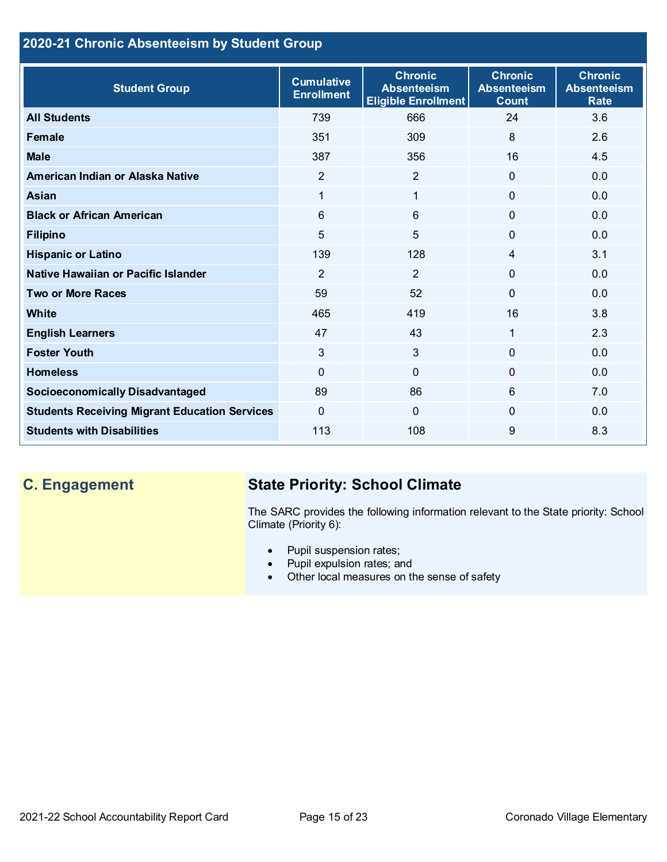## **2020-21 Chronic Absenteeism by Student Group**

| <b>Student Group</b>                                 | <b>Cumulative</b><br><b>Enrollment</b> | <b>Chronic</b><br><b>Absenteeism</b><br><b>Eligible Enrollment</b> | <b>Chronic</b><br><b>Absenteeism</b><br><b>Count</b> | <b>Chronic</b><br><b>Absenteeism</b><br><b>Rate</b> |
|------------------------------------------------------|----------------------------------------|--------------------------------------------------------------------|------------------------------------------------------|-----------------------------------------------------|
| <b>All Students</b>                                  | 739                                    | 666                                                                | 24                                                   | 3.6                                                 |
| <b>Female</b>                                        | 351                                    | 309                                                                | 8                                                    | 2.6                                                 |
| <b>Male</b>                                          | 387                                    | 356                                                                | 16                                                   | 4.5                                                 |
| American Indian or Alaska Native                     | $\overline{2}$                         | $\overline{2}$                                                     | $\mathbf 0$                                          | 0.0                                                 |
| <b>Asian</b>                                         | 1                                      | $\mathbf{1}$                                                       | $\mathbf{0}$                                         | 0.0                                                 |
| <b>Black or African American</b>                     | 6                                      | $6\phantom{1}$                                                     | 0                                                    | 0.0                                                 |
| <b>Filipino</b>                                      | 5                                      | 5                                                                  | 0                                                    | 0.0                                                 |
| <b>Hispanic or Latino</b>                            | 139                                    | 128                                                                | 4                                                    | 3.1                                                 |
| Native Hawaiian or Pacific Islander                  | $\overline{2}$                         | $\overline{2}$                                                     | 0                                                    | 0.0                                                 |
| <b>Two or More Races</b>                             | 59                                     | 52                                                                 | $\Omega$                                             | 0.0                                                 |
| White                                                | 465                                    | 419                                                                | 16                                                   | 3.8                                                 |
| <b>English Learners</b>                              | 47                                     | 43                                                                 | $\mathbf{1}$                                         | 2.3                                                 |
| <b>Foster Youth</b>                                  | 3                                      | 3                                                                  | $\Omega$                                             | 0.0                                                 |
| <b>Homeless</b>                                      | $\mathbf{0}$                           | $\mathbf 0$                                                        | 0                                                    | 0.0                                                 |
| <b>Socioeconomically Disadvantaged</b>               | 89                                     | 86                                                                 | 6                                                    | 7.0                                                 |
| <b>Students Receiving Migrant Education Services</b> | $\Omega$                               | $\mathbf 0$                                                        | 0                                                    | 0.0                                                 |
| <b>Students with Disabilities</b>                    | 113                                    | 108                                                                | 9                                                    | 8.3                                                 |

## **C. Engagement State Priority: School Climate**

The SARC provides the following information relevant to the State priority: School Climate (Priority 6):

- Pupil suspension rates;
- Pupil expulsion rates; and
- Other local measures on the sense of safety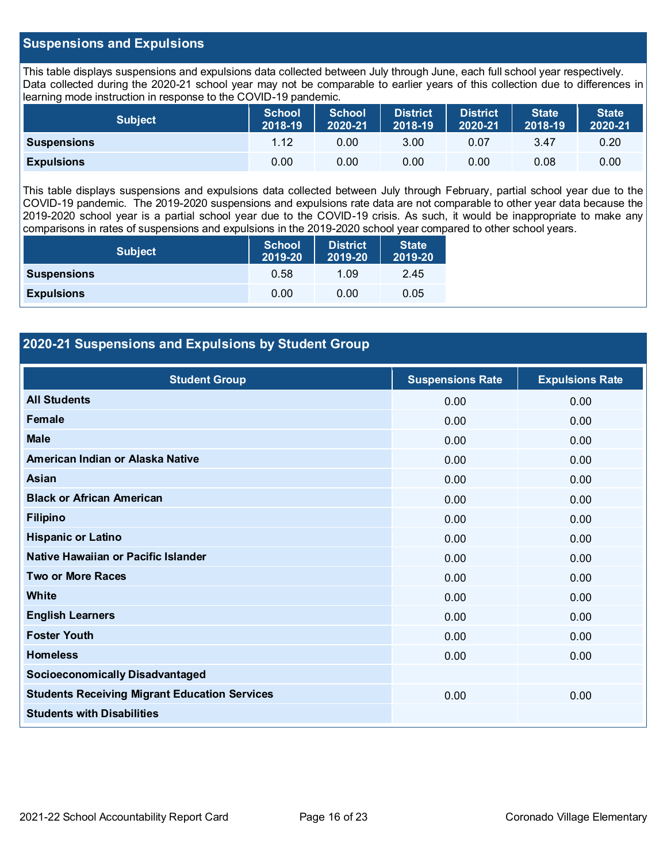## **Suspensions and Expulsions**

This table displays suspensions and expulsions data collected between July through June, each full school year respectively. Data collected during the 2020-21 school year may not be comparable to earlier years of this collection due to differences in learning mode instruction in response to the COVID-19 pandemic.

| <b>Subject</b>     | <b>School</b><br>2018-19 | <b>School</b><br>2020-21 | <b>District</b><br>2018-19 | District<br>2020-21 | <b>State</b><br>2018-19 | <b>State</b><br>2020-21 |
|--------------------|--------------------------|--------------------------|----------------------------|---------------------|-------------------------|-------------------------|
| <b>Suspensions</b> | 1.12                     | 0.00                     | 3.00                       | 0.07                | 3.47                    | 0.20                    |
| <b>Expulsions</b>  | 0.00                     | 0.00                     | 0.00                       | 0.00                | 0.08                    | 0.00                    |

This table displays suspensions and expulsions data collected between July through February, partial school year due to the COVID-19 pandemic. The 2019-2020 suspensions and expulsions rate data are not comparable to other year data because the 2019-2020 school year is a partial school year due to the COVID-19 crisis. As such, it would be inappropriate to make any comparisons in rates of suspensions and expulsions in the 2019-2020 school year compared to other school years.

| <b>Subject</b>     | <b>School</b><br>2019-20 | <b>District</b><br>2019-20 | <b>State</b><br>2019-20 |  |
|--------------------|--------------------------|----------------------------|-------------------------|--|
| <b>Suspensions</b> | 0.58                     | 1.09                       | 2.45                    |  |
| <b>Expulsions</b>  | 0.00                     | 0.00                       | 0.05                    |  |

## **2020-21 Suspensions and Expulsions by Student Group**

| <b>Student Group</b>                                 | <b>Suspensions Rate</b> | <b>Expulsions Rate</b> |
|------------------------------------------------------|-------------------------|------------------------|
| <b>All Students</b>                                  | 0.00                    | 0.00                   |
| Female                                               | 0.00                    | 0.00                   |
| <b>Male</b>                                          | 0.00                    | 0.00                   |
| American Indian or Alaska Native                     | 0.00                    | 0.00                   |
| Asian                                                | 0.00                    | 0.00                   |
| <b>Black or African American</b>                     | 0.00                    | 0.00                   |
| <b>Filipino</b>                                      | 0.00                    | 0.00                   |
| <b>Hispanic or Latino</b>                            | 0.00                    | 0.00                   |
| Native Hawaiian or Pacific Islander                  | 0.00                    | 0.00                   |
| <b>Two or More Races</b>                             | 0.00                    | 0.00                   |
| White                                                | 0.00                    | 0.00                   |
| <b>English Learners</b>                              | 0.00                    | 0.00                   |
| <b>Foster Youth</b>                                  | 0.00                    | 0.00                   |
| <b>Homeless</b>                                      | 0.00                    | 0.00                   |
| <b>Socioeconomically Disadvantaged</b>               |                         |                        |
| <b>Students Receiving Migrant Education Services</b> | 0.00                    | 0.00                   |
| <b>Students with Disabilities</b>                    |                         |                        |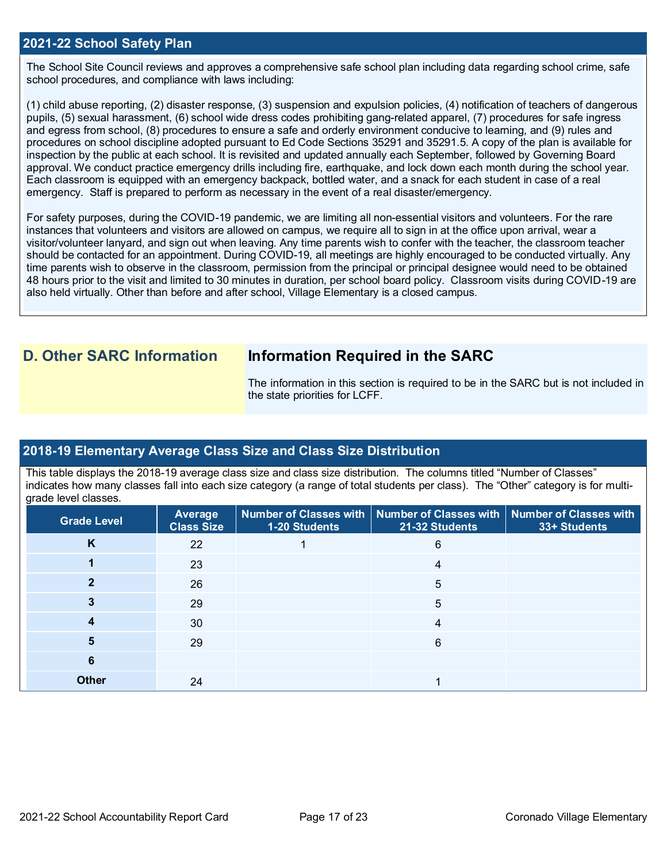### **2021-22 School Safety Plan**

The School Site Council reviews and approves a comprehensive safe school plan including data regarding school crime, safe school procedures, and compliance with laws including:

(1) child abuse reporting, (2) disaster response, (3) suspension and expulsion policies, (4) notification of teachers of dangerous pupils, (5) sexual harassment, (6) school wide dress codes prohibiting gang-related apparel, (7) procedures for safe ingress and egress from school, (8) procedures to ensure a safe and orderly environment conducive to learning, and (9) rules and procedures on school discipline adopted pursuant to Ed Code Sections 35291 and 35291.5. A copy of the plan is available for inspection by the public at each school. It is revisited and updated annually each September, followed by Governing Board approval. We conduct practice emergency drills including fire, earthquake, and lock down each month during the school year. Each classroom is equipped with an emergency backpack, bottled water, and a snack for each student in case of a real emergency. Staff is prepared to perform as necessary in the event of a real disaster/emergency.

For safety purposes, during the COVID-19 pandemic, we are limiting all non-essential visitors and volunteers. For the rare instances that volunteers and visitors are allowed on campus, we require all to sign in at the office upon arrival, wear a visitor/volunteer lanyard, and sign out when leaving. Any time parents wish to confer with the teacher, the classroom teacher should be contacted for an appointment. During COVID-19, all meetings are highly encouraged to be conducted virtually. Any time parents wish to observe in the classroom, permission from the principal or principal designee would need to be obtained 48 hours prior to the visit and limited to 30 minutes in duration, per school board policy. Classroom visits during COVID-19 are also held virtually. Other than before and after school, Village Elementary is a closed campus.

## **D. Other SARC Information Information Required in the SARC**

The information in this section is required to be in the SARC but is not included in the state priorities for LCFF.

### **2018-19 Elementary Average Class Size and Class Size Distribution**

This table displays the 2018-19 average class size and class size distribution. The columns titled "Number of Classes" indicates how many classes fall into each size category (a range of total students per class). The "Other" category is for multigrade level classes.

| <b>Grade Level</b> | Average<br><b>Class Size</b> | 1-20 Students | Number of Classes with   Number of Classes with   Number of Classes with<br>21-32 Students | 33+ Students |
|--------------------|------------------------------|---------------|--------------------------------------------------------------------------------------------|--------------|
| K                  | 22                           |               | 6                                                                                          |              |
|                    | 23                           |               | 4                                                                                          |              |
|                    | 26                           |               | 5                                                                                          |              |
|                    | 29                           |               | 5                                                                                          |              |
|                    | 30                           |               | 4                                                                                          |              |
| 5                  | 29                           |               | 6                                                                                          |              |
| 6                  |                              |               |                                                                                            |              |
| <b>Other</b>       | 24                           |               |                                                                                            |              |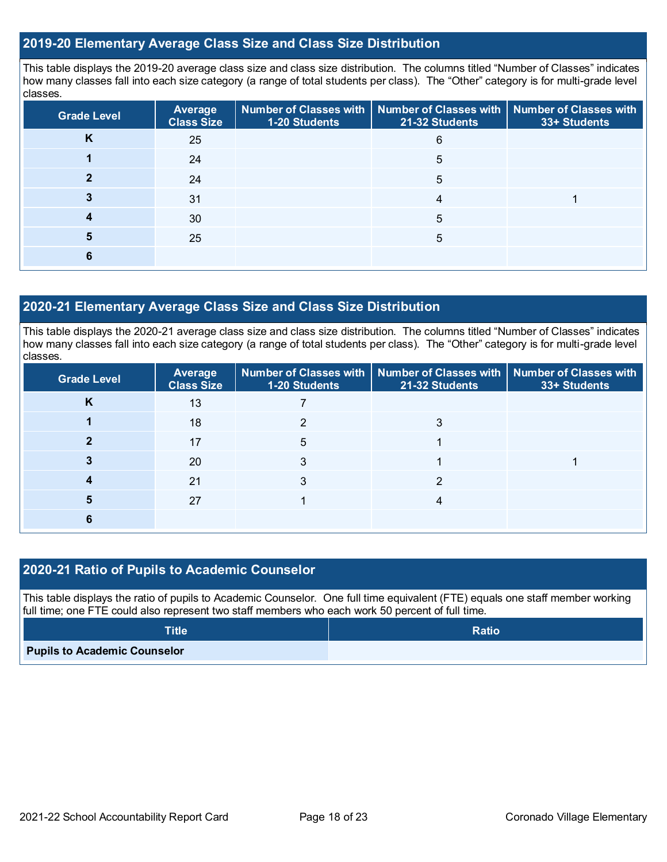## **2019-20 Elementary Average Class Size and Class Size Distribution**

This table displays the 2019-20 average class size and class size distribution. The columns titled "Number of Classes" indicates how many classes fall into each size category (a range of total students per class). The "Other" category is for multi-grade level classes.

| <b>Grade Level</b> | <b>Average</b><br><b>Class Size</b> | 1-20 Students | Number of Classes with   Number of Classes with   Number of Classes with<br>21-32 Students | 33+ Students |
|--------------------|-------------------------------------|---------------|--------------------------------------------------------------------------------------------|--------------|
| n                  | 25                                  |               | 6                                                                                          |              |
|                    | 24                                  |               | 5                                                                                          |              |
|                    | 24                                  |               | 5                                                                                          |              |
|                    | 31                                  |               | 4                                                                                          |              |
|                    | 30                                  |               | 5                                                                                          |              |
| 5                  | 25                                  |               | 5                                                                                          |              |
|                    |                                     |               |                                                                                            |              |

## **2020-21 Elementary Average Class Size and Class Size Distribution**

This table displays the 2020-21 average class size and class size distribution. The columns titled "Number of Classes" indicates how many classes fall into each size category (a range of total students per class). The "Other" category is for multi-grade level classes.

| <b>Grade Level</b> | Average<br><b>Class Size</b> | 1-20 Students | Number of Classes with   Number of Classes with   Number of Classes with<br>21-32 Students | 33+ Students |
|--------------------|------------------------------|---------------|--------------------------------------------------------------------------------------------|--------------|
| K                  | 13                           |               |                                                                                            |              |
|                    | 18                           |               |                                                                                            |              |
|                    | 17                           | 5             |                                                                                            |              |
|                    | 20                           |               |                                                                                            |              |
|                    | 21                           |               |                                                                                            |              |
|                    | 27                           |               |                                                                                            |              |
|                    |                              |               |                                                                                            |              |

## **2020-21 Ratio of Pupils to Academic Counselor**

This table displays the ratio of pupils to Academic Counselor. One full time equivalent (FTE) equals one staff member working full time; one FTE could also represent two staff members who each work 50 percent of full time.

| <b>Title</b>                        | <b>Ratio</b> |
|-------------------------------------|--------------|
| <b>Pupils to Academic Counselor</b> |              |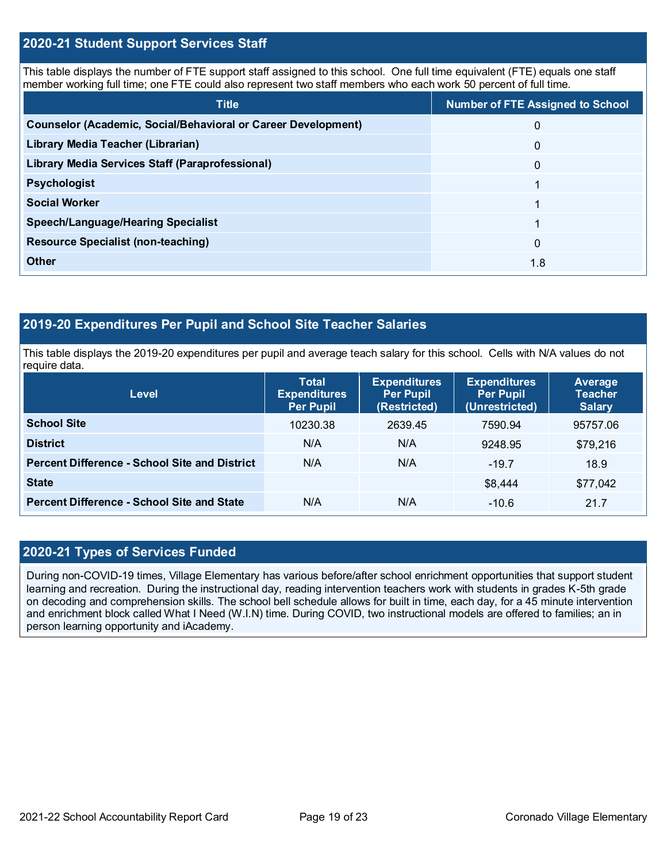## **2020-21 Student Support Services Staff**

This table displays the number of FTE support staff assigned to this school. One full time equivalent (FTE) equals one staff member working full time; one FTE could also represent two staff members who each work 50 percent of full time.

| <b>Title</b>                                                         | <b>Number of FTE Assigned to School</b> |
|----------------------------------------------------------------------|-----------------------------------------|
| <b>Counselor (Academic, Social/Behavioral or Career Development)</b> | 0                                       |
| <b>Library Media Teacher (Librarian)</b>                             | $\mathbf{0}$                            |
| <b>Library Media Services Staff (Paraprofessional)</b>               | $\mathbf{0}$                            |
| <b>Psychologist</b>                                                  |                                         |
| <b>Social Worker</b>                                                 |                                         |
| <b>Speech/Language/Hearing Specialist</b>                            |                                         |
| <b>Resource Specialist (non-teaching)</b>                            | $\Omega$                                |
| Other                                                                | 1.8                                     |

## **2019-20 Expenditures Per Pupil and School Site Teacher Salaries**

This table displays the 2019-20 expenditures per pupil and average teach salary for this school. Cells with N/A values do not require data.

| <b>Level</b>                                         | <b>Total</b><br><b>Expenditures</b><br><b>Per Pupil</b> | <b>Expenditures</b><br><b>Per Pupil</b><br>(Restricted) | <b>Expenditures</b><br><b>Per Pupil</b><br>(Unrestricted) | Average<br><b>Teacher</b><br><b>Salary</b> |
|------------------------------------------------------|---------------------------------------------------------|---------------------------------------------------------|-----------------------------------------------------------|--------------------------------------------|
| <b>School Site</b>                                   | 10230.38                                                | 2639.45                                                 | 7590.94                                                   | 95757.06                                   |
| <b>District</b>                                      | N/A                                                     | N/A                                                     | 9248.95                                                   | \$79,216                                   |
| <b>Percent Difference - School Site and District</b> | N/A                                                     | N/A                                                     | $-19.7$                                                   | 18.9                                       |
| <b>State</b>                                         |                                                         |                                                         | \$8,444                                                   | \$77,042                                   |
| <b>Percent Difference - School Site and State</b>    | N/A                                                     | N/A                                                     | $-10.6$                                                   | 21.7                                       |

### **2020-21 Types of Services Funded**

During non-COVID-19 times, Village Elementary has various before/after school enrichment opportunities that support student learning and recreation. During the instructional day, reading intervention teachers work with students in grades K-5th grade on decoding and comprehension skills. The school bell schedule allows for built in time, each day, for a 45 minute intervention and enrichment block called What I Need (W.I.N) time. During COVID, two instructional models are offered to families; an in person learning opportunity and iAcademy.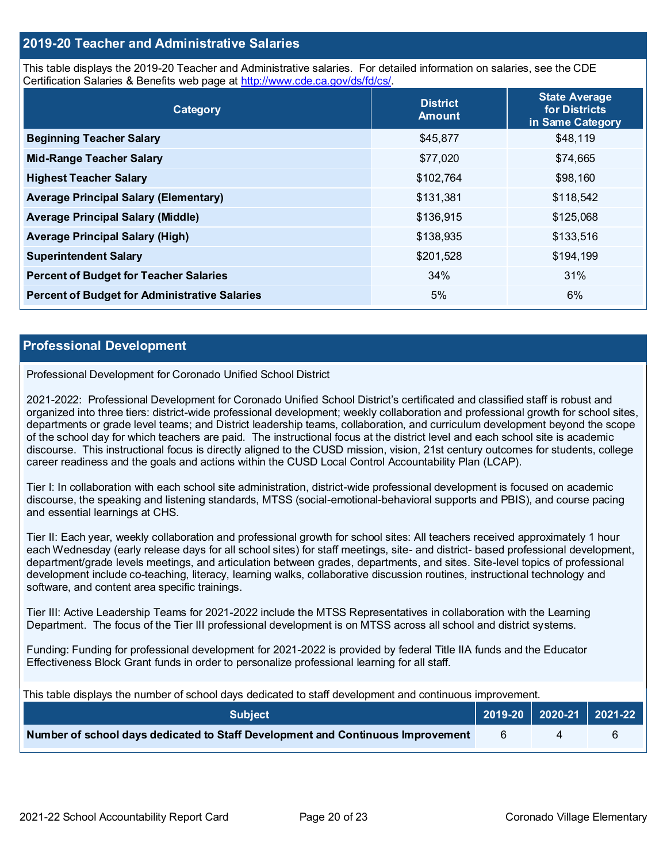## **2019-20 Teacher and Administrative Salaries**

This table displays the 2019-20 Teacher and Administrative salaries. For detailed information on salaries, see the CDE Certification Salaries & Benefits web page at [http://www.cde.ca.gov/ds/fd/cs/.](http://www.cde.ca.gov/ds/fd/cs/)

| Category                                             | <b>District</b><br><b>Amount</b> | <b>State Average</b><br>for Districts<br>in Same Category |
|------------------------------------------------------|----------------------------------|-----------------------------------------------------------|
| <b>Beginning Teacher Salary</b>                      | \$45,877                         | \$48,119                                                  |
| <b>Mid-Range Teacher Salary</b>                      | \$77,020                         | \$74,665                                                  |
| <b>Highest Teacher Salary</b>                        | \$102,764                        | \$98,160                                                  |
| <b>Average Principal Salary (Elementary)</b>         | \$131,381                        | \$118,542                                                 |
| <b>Average Principal Salary (Middle)</b>             | \$136,915                        | \$125,068                                                 |
| <b>Average Principal Salary (High)</b>               | \$138,935                        | \$133,516                                                 |
| <b>Superintendent Salary</b>                         | \$201,528                        | \$194,199                                                 |
| <b>Percent of Budget for Teacher Salaries</b>        | 34%                              | 31%                                                       |
| <b>Percent of Budget for Administrative Salaries</b> | 5%                               | 6%                                                        |

#### **Professional Development**

#### Professional Development for Coronado Unified School District

2021-2022: Professional Development for Coronado Unified School District's certificated and classified staff is robust and organized into three tiers: district-wide professional development; weekly collaboration and professional growth for school sites, departments or grade level teams; and District leadership teams, collaboration, and curriculum development beyond the scope of the school day for which teachers are paid. The instructional focus at the district level and each school site is academic discourse. This instructional focus is directly aligned to the CUSD mission, vision, 21st century outcomes for students, college career readiness and the goals and actions within the CUSD Local Control Accountability Plan (LCAP).

Tier I: In collaboration with each school site administration, district-wide professional development is focused on academic discourse, the speaking and listening standards, MTSS (social-emotional-behavioral supports and PBIS), and course pacing and essential learnings at CHS.

Tier II: Each year, weekly collaboration and professional growth for school sites: All teachers received approximately 1 hour each Wednesday (early release days for all school sites) for staff meetings, site- and district- based professional development, department/grade levels meetings, and articulation between grades, departments, and sites. Site-level topics of professional development include co-teaching, literacy, learning walks, collaborative discussion routines, instructional technology and software, and content area specific trainings.

Tier III: Active Leadership Teams for 2021-2022 include the MTSS Representatives in collaboration with the Learning Department. The focus of the Tier III professional development is on MTSS across all school and district systems.

Funding: Funding for professional development for 2021-2022 is provided by federal Title IIA funds and the Educator Effectiveness Block Grant funds in order to personalize professional learning for all staff.

This table displays the number of school days dedicated to staff development and continuous improvement.

| <b>Subject</b>                                                                  |  | 2019-20   2020-21   2021-22 |
|---------------------------------------------------------------------------------|--|-----------------------------|
| Number of school days dedicated to Staff Development and Continuous Improvement |  |                             |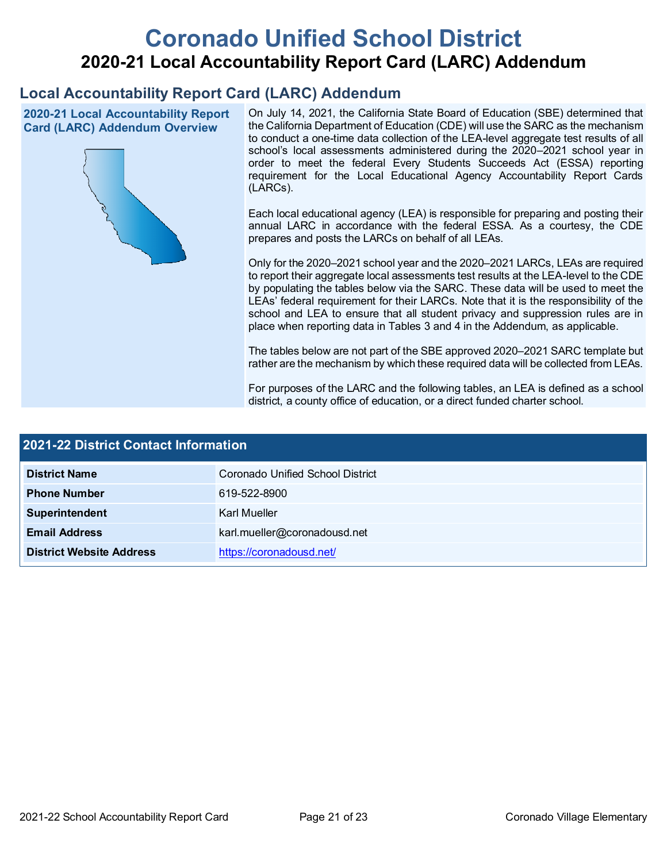# **Coronado Unified School District 2020-21 Local Accountability Report Card (LARC) Addendum**

## **Local Accountability Report Card (LARC) Addendum**

**2020-21 Local Accountability Report Card (LARC) Addendum Overview**



On July 14, 2021, the California State Board of Education (SBE) determined that the California Department of Education (CDE) will use the SARC as the mechanism to conduct a one-time data collection of the LEA-level aggregate test results of all school's local assessments administered during the 2020–2021 school year in order to meet the federal Every Students Succeeds Act (ESSA) reporting requirement for the Local Educational Agency Accountability Report Cards (LARCs).

Each local educational agency (LEA) is responsible for preparing and posting their annual LARC in accordance with the federal ESSA. As a courtesy, the CDE prepares and posts the LARCs on behalf of all LEAs.

Only for the 2020–2021 school year and the 2020–2021 LARCs, LEAs are required to report their aggregate local assessments test results at the LEA-level to the CDE by populating the tables below via the SARC. These data will be used to meet the LEAs' federal requirement for their LARCs. Note that it is the responsibility of the school and LEA to ensure that all student privacy and suppression rules are in place when reporting data in Tables 3 and 4 in the Addendum, as applicable.

The tables below are not part of the SBE approved 2020–2021 SARC template but rather are the mechanism by which these required data will be collected from LEAs.

For purposes of the LARC and the following tables, an LEA is defined as a school district, a county office of education, or a direct funded charter school.

| 2021-22 District Contact Information |                                  |  |  |
|--------------------------------------|----------------------------------|--|--|
| <b>District Name</b>                 | Coronado Unified School District |  |  |
| <b>Phone Number</b>                  | 619-522-8900                     |  |  |
| Superintendent                       | Karl Mueller                     |  |  |
| <b>Email Address</b>                 | karl.mueller@coronadousd.net     |  |  |
| <b>District Website Address</b>      | https://coronadousd.net/         |  |  |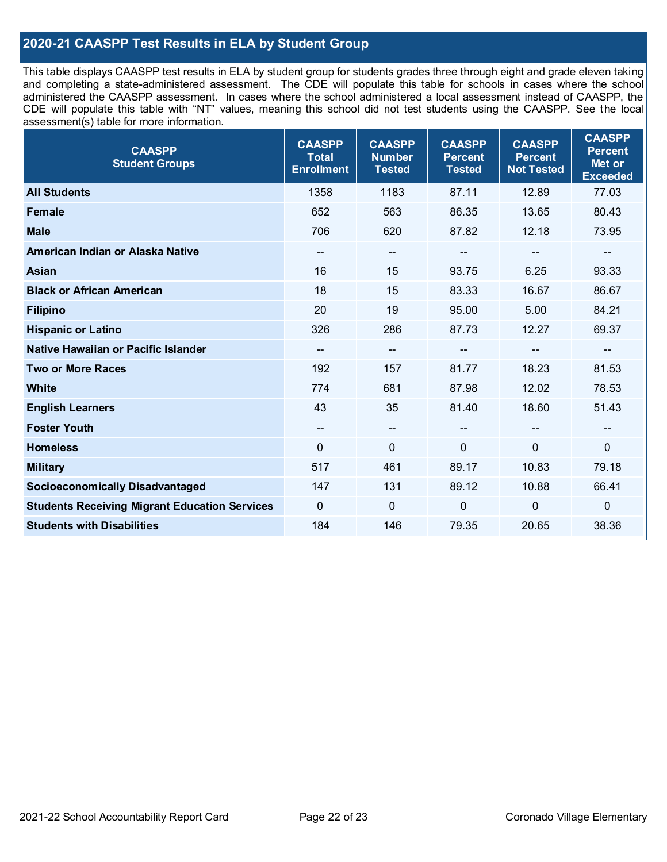## **2020-21 CAASPP Test Results in ELA by Student Group**

This table displays CAASPP test results in ELA by student group for students grades three through eight and grade eleven taking and completing a state-administered assessment. The CDE will populate this table for schools in cases where the school administered the CAASPP assessment. In cases where the school administered a local assessment instead of CAASPP, the CDE will populate this table with "NT" values, meaning this school did not test students using the CAASPP. See the local assessment(s) table for more information.

| <b>CAASPP</b><br><b>Student Groups</b>               | <b>CAASPP</b><br><b>Total</b><br><b>Enrollment</b> | <b>CAASPP</b><br><b>Number</b><br><b>Tested</b> | <b>CAASPP</b><br><b>Percent</b><br><b>Tested</b> | <b>CAASPP</b><br><b>Percent</b><br><b>Not Tested</b> | <b>CAASPP</b><br><b>Percent</b><br>Met or<br><b>Exceeded</b> |
|------------------------------------------------------|----------------------------------------------------|-------------------------------------------------|--------------------------------------------------|------------------------------------------------------|--------------------------------------------------------------|
| <b>All Students</b>                                  | 1358                                               | 1183                                            | 87.11                                            | 12.89                                                | 77.03                                                        |
| <b>Female</b>                                        | 652                                                | 563                                             | 86.35                                            | 13.65                                                | 80.43                                                        |
| <b>Male</b>                                          | 706                                                | 620                                             | 87.82                                            | 12.18                                                | 73.95                                                        |
| American Indian or Alaska Native                     | $\hspace{0.05cm}$ – $\hspace{0.05cm}$              | $-$                                             | --                                               | $\qquad \qquad -$                                    | $\overline{\phantom{a}}$                                     |
| Asian                                                | 16                                                 | 15                                              | 93.75                                            | 6.25                                                 | 93.33                                                        |
| <b>Black or African American</b>                     | 18                                                 | 15                                              | 83.33                                            | 16.67                                                | 86.67                                                        |
| <b>Filipino</b>                                      | 20                                                 | 19                                              | 95.00                                            | 5.00                                                 | 84.21                                                        |
| <b>Hispanic or Latino</b>                            | 326                                                | 286                                             | 87.73                                            | 12.27                                                | 69.37                                                        |
| Native Hawaiian or Pacific Islander                  | $\qquad \qquad \qquad -$                           | --                                              |                                                  | --                                                   | $\qquad \qquad \qquad -$                                     |
| <b>Two or More Races</b>                             | 192                                                | 157                                             | 81.77                                            | 18.23                                                | 81.53                                                        |
| <b>White</b>                                         | 774                                                | 681                                             | 87.98                                            | 12.02                                                | 78.53                                                        |
| <b>English Learners</b>                              | 43                                                 | 35                                              | 81.40                                            | 18.60                                                | 51.43                                                        |
| <b>Foster Youth</b>                                  | $\overline{\phantom{a}}$                           | $\overline{\phantom{a}}$                        | --                                               |                                                      | $\overline{\phantom{a}}$                                     |
| <b>Homeless</b>                                      | $\mathbf{0}$                                       | $\mathbf 0$                                     | $\mathbf{0}$                                     | 0                                                    | $\mathbf 0$                                                  |
| <b>Military</b>                                      | 517                                                | 461                                             | 89.17                                            | 10.83                                                | 79.18                                                        |
| <b>Socioeconomically Disadvantaged</b>               | 147                                                | 131                                             | 89.12                                            | 10.88                                                | 66.41                                                        |
| <b>Students Receiving Migrant Education Services</b> | $\mathbf 0$                                        | $\mathbf 0$                                     | 0                                                | 0                                                    | $\mathbf 0$                                                  |
| <b>Students with Disabilities</b>                    | 184                                                | 146                                             | 79.35                                            | 20.65                                                | 38.36                                                        |